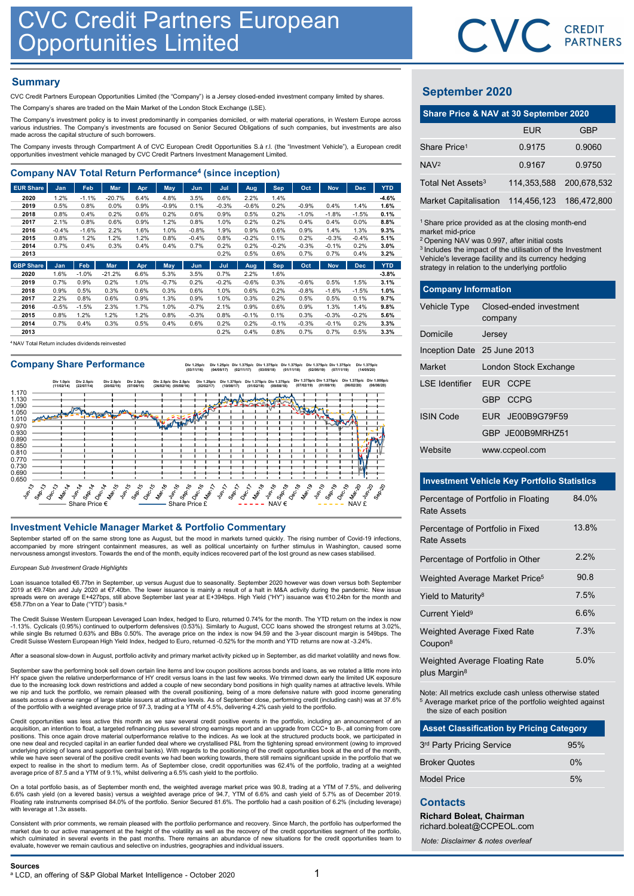## **Summary**

| <b>CVC Credit Partners European</b>                                                                                                                                                                                                     | <b>Opportunities Limited</b> |              |              |              |              |              |              |              |                 |                 |                 |                 |              |                                                                                                         | CVC.        | CR<br>PAI    |
|-----------------------------------------------------------------------------------------------------------------------------------------------------------------------------------------------------------------------------------------|------------------------------|--------------|--------------|--------------|--------------|--------------|--------------|--------------|-----------------|-----------------|-----------------|-----------------|--------------|---------------------------------------------------------------------------------------------------------|-------------|--------------|
| <b>Summary</b><br>CVC Credit Partners European Opportunities Limited (the "Company") is a Jersey closed-ended investment company limited by shares.                                                                                     |                              |              |              |              |              |              |              |              |                 |                 |                 |                 |              | <b>September 2020</b>                                                                                   |             |              |
| The Company's shares are traded on the Main Market of the London Stock Exchange (LSE).                                                                                                                                                  |                              |              |              |              |              |              |              |              |                 |                 |                 |                 |              |                                                                                                         |             |              |
| The Company's investment policy is to invest predominantly in companies domiciled, or with material operations, in Western Europe across                                                                                                |                              |              |              |              |              |              |              |              |                 |                 |                 |                 |              | Share Price & NAV at 30 September 20:                                                                   |             |              |
| various industries. The Company's investments are focused on Senior Secured Obligations of such companies, but investments are also<br>made across the capital structure of such borrowers.                                             |                              |              |              |              |              |              |              |              |                 |                 |                 |                 |              |                                                                                                         | <b>EUR</b>  |              |
| The Company invests through Compartment A of CVC European Credit Opportunities S.à r.l. (the "Investment Vehicle"), a European credit<br>opportunities investment vehicle managed by CVC Credit Partners Investment Management Limited. |                              |              |              |              |              |              |              |              |                 |                 |                 |                 |              | Share Price <sup>1</sup>                                                                                | 0.9175      | 0            |
| <b>Company NAV Total Return Performance<sup>4</sup> (since inception)</b>                                                                                                                                                               |                              |              |              |              |              |              |              |              |                 |                 |                 |                 |              | NAV <sup>2</sup>                                                                                        | 0.9167      | $\mathbf{0}$ |
| <b>EUR Share</b>                                                                                                                                                                                                                        | Jan                          | Feb          | Mar          |              | May          | Jun          |              |              | Sep             | Oct             | <b>Nov</b>      | <b>Dec</b>      | <b>YTD</b>   | Total Net Assets <sup>3</sup>                                                                           | 114,353,588 | 200,         |
| 2020                                                                                                                                                                                                                                    | 1.2%                         | $-1.1%$      | $-20.7%$     | Apr<br>6.4%  | 4.8%         | 3.5%         | Jul<br>0.6%  | Aug<br>2.2%  | 1.4%            |                 |                 |                 | $-4.6%$      |                                                                                                         |             |              |
| 2019                                                                                                                                                                                                                                    | 0.5%                         | 0.8%         | 0.0%         | 0.9%         | $-0.9%$      | 0.1%         | $-0.3%$      | $-0.6%$      | 0.2%            | $-0.9%$         | 0.4%            | 1.4%            | 1.6%         | <b>Market Capitalisation</b>                                                                            | 114,456,123 | 186,         |
| 2018                                                                                                                                                                                                                                    | 0.8%<br>2.1%                 | 0.4%<br>0.8% | 0.2%<br>0.6% | 0.6%<br>0.9% | 0.2%<br>1.2% | 0.6%<br>0.8% | 0.9%<br>1.0% | 0.5%<br>0.2% | 0.2%<br>0.2%    | $-1.0%$<br>0.4% | $-1.8%$<br>0.4% | $-1.5%$<br>0.0% | 0.1%<br>8.8% |                                                                                                         |             |              |
| 2017<br>2016                                                                                                                                                                                                                            | $-0.4%$                      | $-1.6%$      | 2.2%         | 1.6%         | 1.0%         | $-0.8%$      | 1.9%         | 0.9%         | 0.6%            | 0.9%            | 1.4%            | 1.3%            | 9.3%         | <sup>1</sup> Share price provided as at the closing month-en<br>market mid-price                        |             |              |
| 2015                                                                                                                                                                                                                                    | 0.8%                         | 1.2%         | 1.2%         | 1.2%         | 0.8%         | $-0.4%$      | 0.8%         | $-0.2%$      | 0.1%            | 0.2%            | $-0.3%$         | $-0.4%$         | 5.1%         | <sup>2</sup> Opening NAV was 0.997, after initial costs                                                 |             |              |
| 2014<br>2013                                                                                                                                                                                                                            | 0.7%                         | 0.4%         | 0.3%         | 0.4%         | 0.4%         | 0.7%         | 0.2%<br>0.2% | 0.2%<br>0.5% | $-0.2%$<br>0.6% | $-0.3%$<br>0.7% | $-0.1%$<br>0.7% | 0.2%<br>0.4%    | 3.0%<br>3.2% | <sup>3</sup> Includes the impact of the utilisation of the Inves                                        |             |              |
| <b>GBP Share</b>                                                                                                                                                                                                                        | Jan                          | Feb.         | Mar          | Apr          | <b>May</b>   | Jun          | Jul          | Aug          | <b>Sep</b>      | Oct             | <b>Nov</b>      | <b>Dec</b>      | <b>YTD</b>   | Vehicle's leverage facility and its currency hedgin<br>strategy in relation to the underlying portfolio |             |              |
|                                                                                                                                                                                                                                         |                              |              |              |              |              |              |              |              |                 |                 |                 |                 |              |                                                                                                         |             |              |

| 2020 | 1.6%    | $-1.0%$ | $-21.2%$ | 6.6%   | 5.3%    | 3.5%    | 0.7%    | 2.2%    | .6%     |         |         |         | $-3.8%$ |
|------|---------|---------|----------|--------|---------|---------|---------|---------|---------|---------|---------|---------|---------|
| 2019 | 0.7%    | 0.9%    | 0.2%     | $.0\%$ | $-0.7%$ | 0.2%    | $-0.2%$ | $-0.6%$ | 0.3%    | $-0.6%$ | 0.5%    | .5%     | 3.1%    |
| 2018 | 0.9%    | 0.5%    | 0.3%     | 0.6%   | 0.3%    | 0.6%    | 1.0%    | 0.6%    | 0.2%    | $-0.8%$ | $-1.6%$ | $-1.5%$ | 1.0%    |
| 2017 | 2.2%    | 0.8%    | 0.6%     | 0.9%   | 1.3%    | 0.9%    | 1.0%    | 0.3%    | 0.2%    | 0.5%    | 0.5%    | 0.1%    | 9.7%    |
| 2016 | $-0.5%$ | $-1.5%$ | 2.3%     | 1.7%   | 1.0%    | $-0.7%$ | 2.1%    | 0.9%    | 0.6%    | 0.9%    | 1.3%    | 1.4%    | 9.8%    |
| 2015 | 0.8%    | $.2\%$  | 1.2%     | $.2\%$ | 0.8%    | $-0.3%$ | 0.8%    | $-0.1%$ | 0.1%    | 0.3%    | $-0.3%$ | $-0.2%$ | 5.6%    |
| 2014 | 0.7%    | 0.4%    | 0.3%     | 0.5%   | 0.4%    | 0.6%    | 0.2%    | 0.2%    | $-0.1%$ | $-0.3%$ | $-0.1%$ | 0.2%    | 3.3%    |
| 2013 |         |         |          |        |         |         | 0.2%    | 0.4%    | 0.8%    | 0.7%    | 0.7%    | 0.5%    | 3.3%    |

<sup>4</sup>NAV Total Return includes dividends reinvested

Company Share Performance<br>
Company Share Performance **(14/05/20)** Div 1.375p/c Div 1.375p/c Div 1.375p/c Div 1.375p/c Div 1.375p/c Div 1.375p/c Div 1.375p/c Div 1.375p/c Div 1.375p/c Div 1.375p/c



September started off on the same strong tone as August, but the mood in markets turned quickly. The rising number of Covid-19 infections,<br>accompanied by more stringent containment measures, as well as political uncertaint

### European Sub Investment Grade Highlights

Loan issuance totalled €6.77bn in September, up versus August due to seasonality. September 2020 however was down versus both September<br>2019 at €9.74bn and July 2020 at €7.40bn. The lower issuance is mainly a result of a €58.77bn on a Year to Date ("YTD") basis.

The Credit Suisse Western European Leveraged Loan Index, hedged to Euro, returned 0.74% for the month. The YTD return on the index is now -1.13%. Cyclicals (0.95%) continued to outperform defensives (0.53%). Similarly to August, CCC loans showed the strongest returns at 3.02%,<br>while single Bs returned 0.63% and BBs 0.50%. The average price on the index is no

After a seasonal slow-down in August, portfolio activity and primary market activity picked up in September, as did market volatility and news flow.

September saw the performing book sell down certain line items and low coupon positions across bonds and loans, as we rotated a little more into HY space given the relative underperformance of HY credit versus loans in the last few weeks. We trimmed down early the limited UK exposure due to the increasing lock down restrictions and added a couple of new secondary bond positions in high quality names at attractive levels. While we nip and tuck the portfolio, we remain pleased with the overall positioning, being of a more defensive nature with good income generating assets across a diverse range of large stable issuers at attractive levels. As of September close, performing credit (including cash) was at 37.6% of the portfolio with a weighted average price of 97.3, trading at a YTM of 4.5%, delivering 4.2% cash yield to the portfolio.

Credit opportunities was less active this month as we saw several credit positive events in the portfolio, including an announcement of an<br>acquisition, an intention to float, a targeted refinancing plus several strong eami positions. This once again drove material outperformance relative to the indices. As we look at the structured products book, we participated in one new deal and recycled capital in an earlier funded deal where we crystallised P&L from the tightening spread environment (owing to improved underlying pricing of loans and supportive central banks). With regards to the positioning of the credit opportunities book at the end of the month,<br>while we have seen several of the positive credit events we had been work average price of 87.5 and a YTM of 9.1%, whilst delivering a 6.5% cash yield to the portfolio. are an actual of the media control intelligence in the state of the state of the control intelligence in the state of the state of the state of the state of the state of the state of the state of the state of the state of

On a total portfolio basis, as of September month end, the weighted average market price was 90.8, trading at a YTM of 7.5%, and delivering<br>6.6% cash yield (on a levered basis) versus a weighted average price of 94.7, YTM

Consistent with prior comments, we remain pleased with the portfolio performance and recovery. Since March, the portfolio has outperformed the market due to our active management at the height of the volatility as well as the recovery of the credit opportunities segment of the portfolio, which culminated in several events in the past months. There remains an abundance of new situations for the credit opportunities team to<br>evaluate, however we remain cautious and selective on industries, geographies and ind



## September 2020

|                               | CVC CREDIT                                                                                                                                                                                                                                                                                                    |             |
|-------------------------------|---------------------------------------------------------------------------------------------------------------------------------------------------------------------------------------------------------------------------------------------------------------------------------------------------------------|-------------|
|                               |                                                                                                                                                                                                                                                                                                               |             |
|                               |                                                                                                                                                                                                                                                                                                               |             |
| <b>September 2020</b>         |                                                                                                                                                                                                                                                                                                               |             |
|                               | Share Price & NAV at 30 September 2020                                                                                                                                                                                                                                                                        |             |
|                               | <b>EUR</b>                                                                                                                                                                                                                                                                                                    | <b>GBP</b>  |
| Share Price <sup>1</sup>      | 0.9175                                                                                                                                                                                                                                                                                                        | 0.9060      |
| NAV <sup>2</sup>              | 0.9167                                                                                                                                                                                                                                                                                                        | 0.9750      |
| Total Net Assets <sup>3</sup> | 114,353,588                                                                                                                                                                                                                                                                                                   | 200,678,532 |
| <b>Market Capitalisation</b>  | 114,456,123                                                                                                                                                                                                                                                                                                   | 186,472,800 |
| market mid-price              | <sup>1</sup> Share price provided as at the closing month-end<br><sup>2</sup> Opening NAV was 0.997, after initial costs<br><sup>3</sup> Includes the impact of the utilisation of the Investment<br>Vehicle's leverage facility and its currency hedging<br>strategy in relation to the underlying portfolio |             |
| <b>Company Information</b>    |                                                                                                                                                                                                                                                                                                               |             |
| Vehicle Type                  | Closed-ended investment<br>company                                                                                                                                                                                                                                                                            |             |
| Domicile                      | Jersey                                                                                                                                                                                                                                                                                                        |             |
| Inception Date 25 June 2013   |                                                                                                                                                                                                                                                                                                               |             |
| Market                        | London Stock Exchange                                                                                                                                                                                                                                                                                         |             |

| <b>September 2020</b>                              |                                                                                                                                                                                                                                                                                                               |                         |             |  |
|----------------------------------------------------|---------------------------------------------------------------------------------------------------------------------------------------------------------------------------------------------------------------------------------------------------------------------------------------------------------------|-------------------------|-------------|--|
|                                                    | Share Price & NAV at 30 September 2020                                                                                                                                                                                                                                                                        |                         |             |  |
|                                                    |                                                                                                                                                                                                                                                                                                               | <b>EUR</b>              | <b>GBP</b>  |  |
| Share Price <sup>1</sup>                           |                                                                                                                                                                                                                                                                                                               | 0.9175                  | 0.9060      |  |
| NAV <sup>2</sup>                                   |                                                                                                                                                                                                                                                                                                               | 0.9167                  | 0.9750      |  |
| Total Net Assets <sup>3</sup>                      |                                                                                                                                                                                                                                                                                                               | 114,353,588             | 200,678,532 |  |
| <b>Market Capitalisation</b>                       |                                                                                                                                                                                                                                                                                                               | 114,456,123             | 186,472,800 |  |
| market mid-price                                   | <sup>1</sup> Share price provided as at the closing month-end<br><sup>2</sup> Opening NAV was 0.997, after initial costs<br><sup>3</sup> Includes the impact of the utilisation of the Investment<br>Vehicle's leverage facility and its currency hedging<br>strategy in relation to the underlying portfolio |                         |             |  |
| <b>Company Information</b>                         |                                                                                                                                                                                                                                                                                                               |                         |             |  |
| Vehicle Type                                       | company                                                                                                                                                                                                                                                                                                       | Closed-ended investment |             |  |
| Domicile                                           | Jersey                                                                                                                                                                                                                                                                                                        |                         |             |  |
| Inception Date 25 June 2013                        |                                                                                                                                                                                                                                                                                                               |                         |             |  |
| Market                                             |                                                                                                                                                                                                                                                                                                               | London Stock Exchange   |             |  |
| <b>LSE</b> Identifier                              |                                                                                                                                                                                                                                                                                                               | EUR CCPE                |             |  |
|                                                    |                                                                                                                                                                                                                                                                                                               | GBP CCPG                |             |  |
| <b>ISIN Code</b>                                   |                                                                                                                                                                                                                                                                                                               | EUR JE00B9G79F59        |             |  |
|                                                    |                                                                                                                                                                                                                                                                                                               | GBP JE00B9MRHZ51        |             |  |
| Website                                            |                                                                                                                                                                                                                                                                                                               | www.ccpeol.com          |             |  |
|                                                    |                                                                                                                                                                                                                                                                                                               |                         |             |  |
| <b>Investment Vehicle Key Portfolio Statistics</b> |                                                                                                                                                                                                                                                                                                               |                         |             |  |
| Percentage of Portfolio in Floating<br>Rate Assets |                                                                                                                                                                                                                                                                                                               |                         | 84.0%       |  |

### Investment Vehicle Key Portfolio Statistics

|                                                                                                                      | GBP JE00B9MRHZ51                                                                                                              |       |
|----------------------------------------------------------------------------------------------------------------------|-------------------------------------------------------------------------------------------------------------------------------|-------|
| Website                                                                                                              | www.ccpeol.com                                                                                                                |       |
|                                                                                                                      |                                                                                                                               |       |
|                                                                                                                      | <b>Investment Vehicle Key Portfolio Statistics</b>                                                                            |       |
| <b>Rate Assets</b>                                                                                                   | Percentage of Portfolio in Floating                                                                                           | 84.0% |
| <b>Rate Assets</b>                                                                                                   | Percentage of Portfolio in Fixed                                                                                              | 13.8% |
|                                                                                                                      | Percentage of Portfolio in Other                                                                                              | 2.2%  |
|                                                                                                                      | Weighted Average Market Price <sup>5</sup>                                                                                    | 90.8  |
| Yield to Maturity <sup>8</sup>                                                                                       |                                                                                                                               | 7.5%  |
| Current Yield <sup>9</sup>                                                                                           |                                                                                                                               | 6.6%  |
| Weighted Average Fixed Rate<br>Coupon <sup>8</sup>                                                                   |                                                                                                                               | 7.3%  |
| plus Margin <sup>8</sup>                                                                                             | Weighted Average Floating Rate                                                                                                | 5.0%  |
| the size of each position                                                                                            | Note: All metrics exclude cash unless otherwise stated<br><sup>5</sup> Average market price of the portfolio weighted against |       |
|                                                                                                                      | <b>Asset Classification by Pricing Category</b>                                                                               |       |
| 3rd Party Pricing Service                                                                                            |                                                                                                                               | 95%   |
| <b>Broker Quotes</b>                                                                                                 |                                                                                                                               | 0%    |
| <b>Model Price</b>                                                                                                   |                                                                                                                               | 5%    |
| <b>Contacts</b><br><b>Richard Boleat, Chairman</b><br>richard.boleat@CCPEOL.com<br>Note: Disclaimer & notes overleaf |                                                                                                                               |       |

| <b>Asset Classification by Pricing Category</b> |       |
|-------------------------------------------------|-------|
| 3rd Party Pricing Service                       | 95%   |
| <b>Broker Quotes</b>                            | $0\%$ |
| Model Price                                     | 5%    |

## **Contacts**